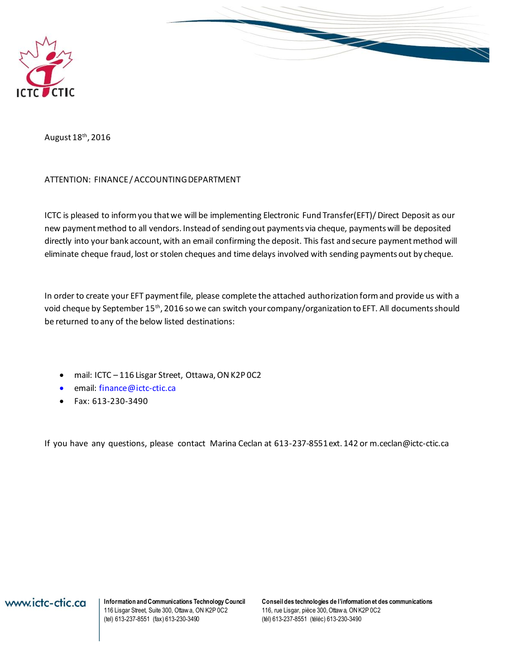



August 18<sup>th</sup>, 2016

#### ATTENTION: FINANCE / ACCOUNTING DEPARTMENT

ICTC is pleased to inform you that we will be implementing Electronic Fund Transfer(EFT)/ Direct Deposit as our new payment method to all vendors. Instead of sending out payments via cheque, payments will be deposited directly into your bank account, with an email confirming the deposit. This fast and secure payment method will eliminate cheque fraud, lost or stolen cheques and time delays involved with sending payments out by cheque.

In order to create your EFT payment file, please complete the attached authorization form and provide us with a void cheque by September 15<sup>th</sup>, 2016 so we can switch your company/organization to EFT. All documents should be returned to any of the below listed destinations:

- mail: ICTC 116 Lisgar Street, Ottawa, ON K2P 0C2
- email: [finance@ictc-ctic.ca](mailto:finance@ictc-ctic.ca)
- $\bullet$  Fax: 613-230-3490

If you have any questions, please contact Marina Ceclan at 613-237-8551 ext. 142 o[r m.ceclan@ictc-ctic.ca](mailto:m.ceclan@ictc-ctic.ca)

116 Lisgar Street, Suite 300, Ottaw a, ON K2P 0C2 (tel) 613-237-8551 (fax) 613-230-3490 (tél) 613-237-8551 (téléc) 613-230-3490

**Information and Communications Technology Council** Conseil des technologies de l'information et des communications<br>116 Lisgar Street, Suite 300, Ottawa, ON K2P 0C2 116, rue Lisgar, pièce 300, Ottawa, ON K2P 0C2